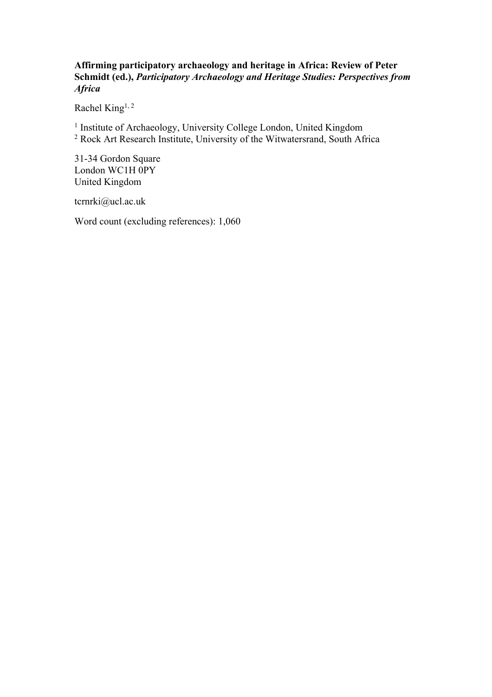## **Affirming participatory archaeology and heritage in Africa: Review of Peter Schmidt (ed.),** *Participatory Archaeology and Heritage Studies: Perspectives from Africa*

Rachel King<sup>1, 2</sup>

<sup>1</sup> Institute of Archaeology, University College London, United Kingdom <sup>2</sup> Rock Art Research Institute, University of the Witwatersrand, South Africa

31-34 Gordon Square London WC1H 0PY United Kingdom

tcrnrki@ucl.ac.uk

Word count (excluding references): 1,060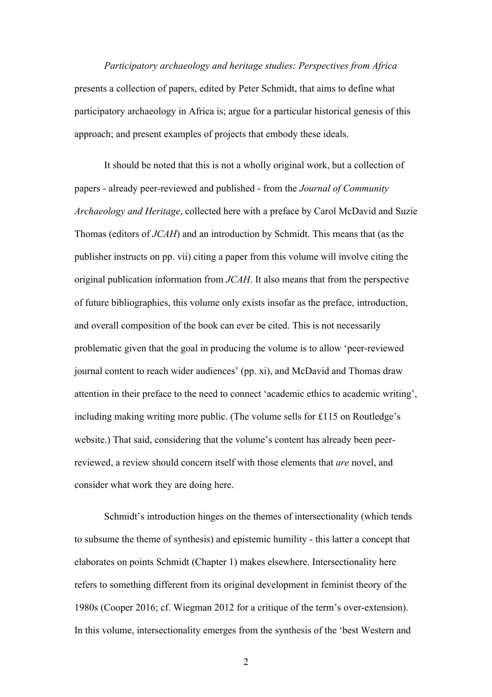*Participatory archaeology and heritage studies: Perspectives from Africa* presents a collection of papers, edited by Peter Schmidt, that aims to define what participatory archaeology in Africa is; argue for a particular historical genesis of this approach; and present examples of projects that embody these ideals.

It should be noted that this is not a wholly original work, but a collection of papers - already peer-reviewed and published - from the *Journal of Community Archaeology and Heritage*, collected here with a preface by Carol McDavid and Suzie Thomas (editors of *JCAH*) and an introduction by Schmidt. This means that (as the publisher instructs on pp. vii) citing a paper from this volume will involve citing the original publication information from *JCAH*. It also means that from the perspective of future bibliographies, this volume only exists insofar as the preface, introduction, and overall composition of the book can ever be cited. This is not necessarily problematic given that the goal in producing the volume is to allow 'peer-reviewed journal content to reach wider audiences' (pp. xi), and McDavid and Thomas draw attention in their preface to the need to connect 'academic ethics to academic writing', including making writing more public. (The volume sells for £115 on Routledge's website.) That said, considering that the volume's content has already been peerreviewed, a review should concern itself with those elements that *are* novel, and consider what work they are doing here.

Schmidt's introduction hinges on the themes of intersectionality (which tends to subsume the theme of synthesis) and epistemic humility - this latter a concept that elaborates on points Schmidt (Chapter 1) makes elsewhere. Intersectionality here refers to something different from its original development in feminist theory of the 1980s (Cooper 2016; cf. Wiegman 2012 for a critique of the term's over-extension). In this volume, intersectionality emerges from the synthesis of the 'best Western and

2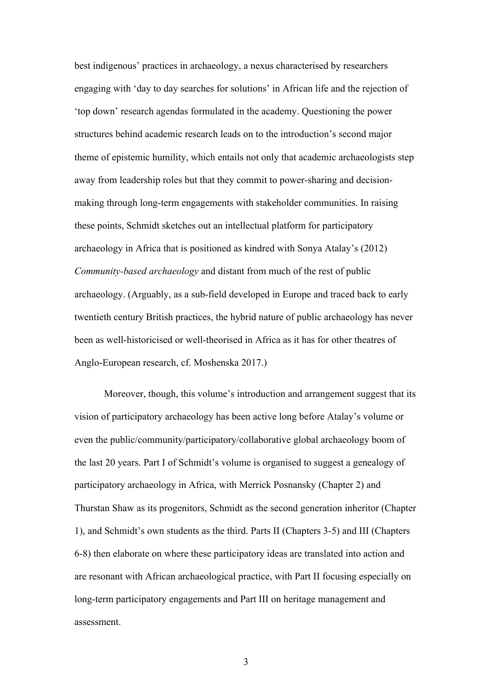best indigenous' practices in archaeology, a nexus characterised by researchers engaging with 'day to day searches for solutions' in African life and the rejection of 'top down' research agendas formulated in the academy. Questioning the power structures behind academic research leads on to the introduction's second major theme of epistemic humility, which entails not only that academic archaeologists step away from leadership roles but that they commit to power-sharing and decisionmaking through long-term engagements with stakeholder communities. In raising these points, Schmidt sketches out an intellectual platform for participatory archaeology in Africa that is positioned as kindred with Sonya Atalay's (2012) *Community-based archaeology* and distant from much of the rest of public archaeology. (Arguably, as a sub-field developed in Europe and traced back to early twentieth century British practices, the hybrid nature of public archaeology has never been as well-historicised or well-theorised in Africa as it has for other theatres of Anglo-European research, cf. Moshenska 2017.)

Moreover, though, this volume's introduction and arrangement suggest that its vision of participatory archaeology has been active long before Atalay's volume or even the public/community/participatory/collaborative global archaeology boom of the last 20 years. Part I of Schmidt's volume is organised to suggest a genealogy of participatory archaeology in Africa, with Merrick Posnansky (Chapter 2) and Thurstan Shaw as its progenitors, Schmidt as the second generation inheritor (Chapter 1), and Schmidt's own students as the third. Parts II (Chapters 3-5) and III (Chapters 6-8) then elaborate on where these participatory ideas are translated into action and are resonant with African archaeological practice, with Part II focusing especially on long-term participatory engagements and Part III on heritage management and assessment.

3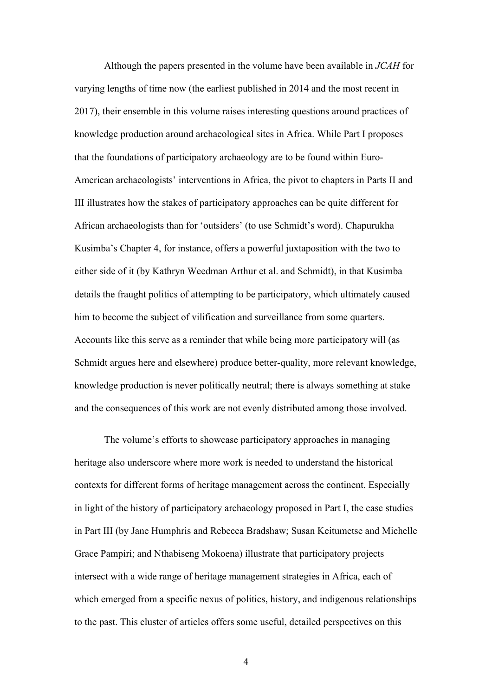Although the papers presented in the volume have been available in *JCAH* for varying lengths of time now (the earliest published in 2014 and the most recent in 2017), their ensemble in this volume raises interesting questions around practices of knowledge production around archaeological sites in Africa. While Part I proposes that the foundations of participatory archaeology are to be found within Euro-American archaeologists' interventions in Africa, the pivot to chapters in Parts II and III illustrates how the stakes of participatory approaches can be quite different for African archaeologists than for 'outsiders' (to use Schmidt's word). Chapurukha Kusimba's Chapter 4, for instance, offers a powerful juxtaposition with the two to either side of it (by Kathryn Weedman Arthur et al. and Schmidt), in that Kusimba details the fraught politics of attempting to be participatory, which ultimately caused him to become the subject of vilification and surveillance from some quarters. Accounts like this serve as a reminder that while being more participatory will (as Schmidt argues here and elsewhere) produce better-quality, more relevant knowledge, knowledge production is never politically neutral; there is always something at stake and the consequences of this work are not evenly distributed among those involved.

The volume's efforts to showcase participatory approaches in managing heritage also underscore where more work is needed to understand the historical contexts for different forms of heritage management across the continent. Especially in light of the history of participatory archaeology proposed in Part I, the case studies in Part III (by Jane Humphris and Rebecca Bradshaw; Susan Keitumetse and Michelle Grace Pampiri; and Nthabiseng Mokoena) illustrate that participatory projects intersect with a wide range of heritage management strategies in Africa, each of which emerged from a specific nexus of politics, history, and indigenous relationships to the past. This cluster of articles offers some useful, detailed perspectives on this

4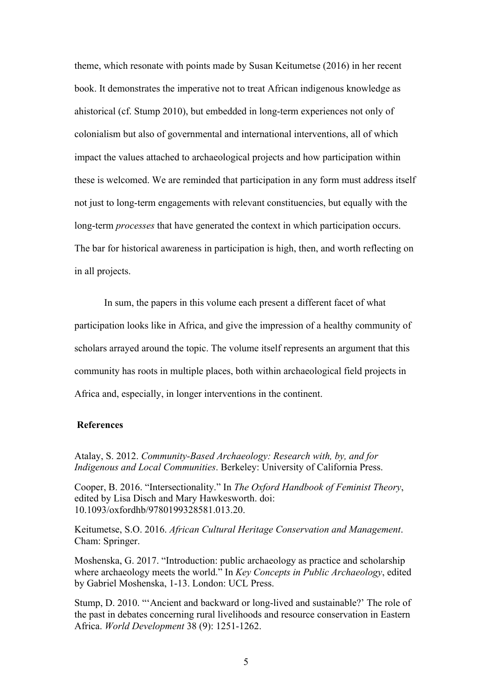theme, which resonate with points made by Susan Keitumetse (2016) in her recent book. It demonstrates the imperative not to treat African indigenous knowledge as ahistorical (cf. Stump 2010), but embedded in long-term experiences not only of colonialism but also of governmental and international interventions, all of which impact the values attached to archaeological projects and how participation within these is welcomed. We are reminded that participation in any form must address itself not just to long-term engagements with relevant constituencies, but equally with the long-term *processes* that have generated the context in which participation occurs. The bar for historical awareness in participation is high, then, and worth reflecting on in all projects.

In sum, the papers in this volume each present a different facet of what participation looks like in Africa, and give the impression of a healthy community of scholars arrayed around the topic. The volume itself represents an argument that this community has roots in multiple places, both within archaeological field projects in Africa and, especially, in longer interventions in the continent.

## **References**

Atalay, S. 2012. *Community-Based Archaeology: Research with, by, and for Indigenous and Local Communities*. Berkeley: University of California Press.

Cooper, B. 2016. "Intersectionality." In *The Oxford Handbook of Feminist Theory*, edited by Lisa Disch and Mary Hawkesworth. doi: 10.1093/oxfordhb/9780199328581.013.20.

Keitumetse, S.O. 2016. *African Cultural Heritage Conservation and Management*. Cham: Springer.

Moshenska, G. 2017. "Introduction: public archaeology as practice and scholarship where archaeology meets the world." In *Key Concepts in Public Archaeology*, edited by Gabriel Moshenska, 1-13. London: UCL Press.

Stump, D. 2010. "'Ancient and backward or long-lived and sustainable?' The role of the past in debates concerning rural livelihoods and resource conservation in Eastern Africa. *World Development* 38 (9): 1251-1262.